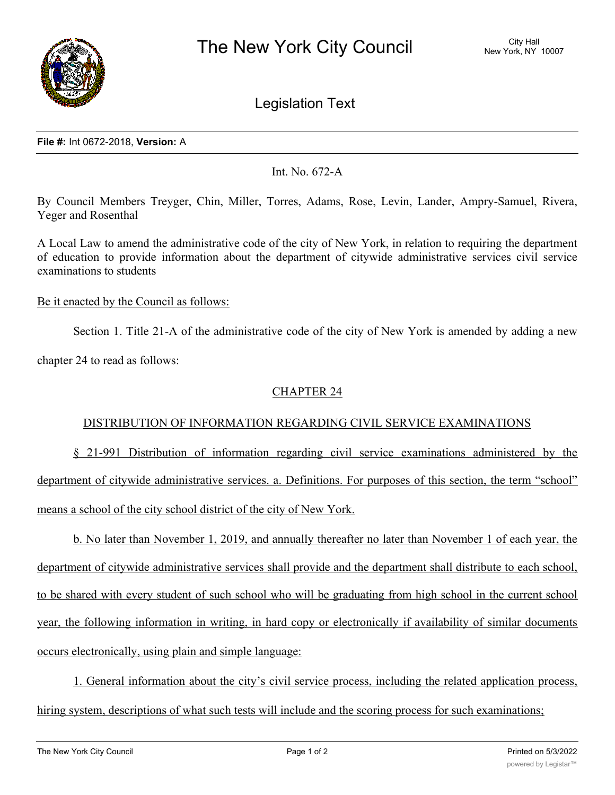

Legislation Text

#### **File #:** Int 0672-2018, **Version:** A

Int. No. 672-A

By Council Members Treyger, Chin, Miller, Torres, Adams, Rose, Levin, Lander, Ampry-Samuel, Rivera, Yeger and Rosenthal

A Local Law to amend the administrative code of the city of New York, in relation to requiring the department of education to provide information about the department of citywide administrative services civil service examinations to students

### Be it enacted by the Council as follows:

Section 1. Title 21-A of the administrative code of the city of New York is amended by adding a new

chapter 24 to read as follows:

# CHAPTER 24

## DISTRIBUTION OF INFORMATION REGARDING CIVIL SERVICE EXAMINATIONS

§ 21-991 Distribution of information regarding civil service examinations administered by the department of citywide administrative services. a. Definitions. For purposes of this section, the term "school" means a school of the city school district of the city of New York.

b. No later than November 1, 2019, and annually thereafter no later than November 1 of each year, the department of citywide administrative services shall provide and the department shall distribute to each school, to be shared with every student of such school who will be graduating from high school in the current school year, the following information in writing, in hard copy or electronically if availability of similar documents occurs electronically, using plain and simple language:

1. General information about the city's civil service process, including the related application process, hiring system, descriptions of what such tests will include and the scoring process for such examinations;